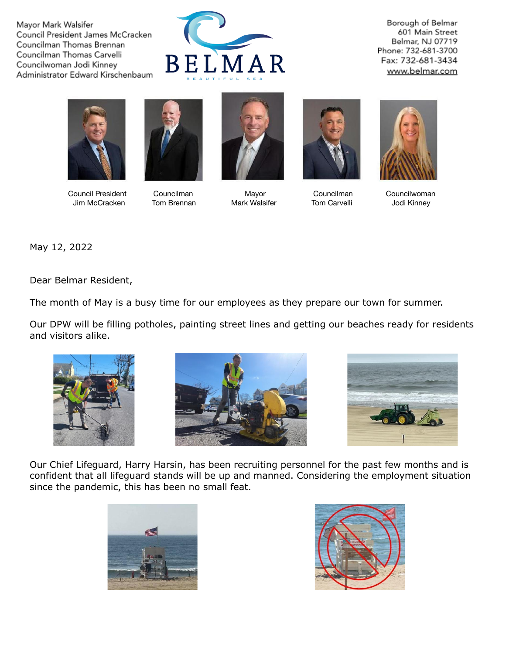Mayor Mark Walsifer Council President James McCracken Councilman Thomas Brennan Councilman Thomas Carvelli Councilwoman Jodi Kinney Administrator Edward Kirschenbaum



Borough of Belmar 601 Main Street Belmar, NJ 07719 Phone: 732-681-3700 Fax: 732-681-3434 www.belmar.com





Council President Councilman Mayor Councilman Councilwoman Jim McCracken Tom Brennan Mark Walsifer Tom Carvelli Jodi Kinney







May 12, 2022

Dear Belmar Resident,

The month of May is a busy time for our employees as they prepare our town for summer.

Our DPW will be filling potholes, painting street lines and getting our beaches ready for residents and visitors alike.







Our Chief Lifeguard, Harry Harsin, has been recruiting personnel for the past few months and is confident that all lifeguard stands will be up and manned. Considering the employment situation since the pandemic, this has been no small feat.



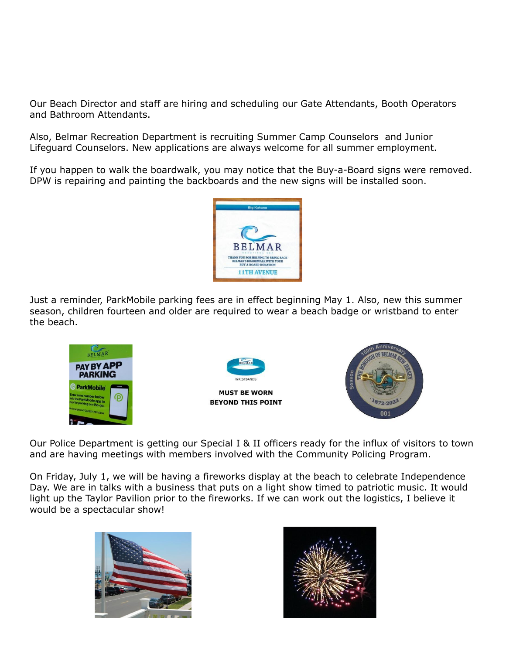Our Beach Director and staff are hiring and scheduling our Gate Attendants, Booth Operators and Bathroom Attendants.

Also, Belmar Recreation Department is recruiting Summer Camp Counselors and Junior Lifeguard Counselors. New applications are always welcome for all summer employment.

If you happen to walk the boardwalk, you may notice that the Buy-a-Board signs were removed. DPW is repairing and painting the backboards and the new signs will be installed soon.



Just a reminder, ParkMobile parking fees are in effect beginning May 1. Also, new this summer season, children fourteen and older are required to wear a beach badge or wristband to enter the beach.



Our Police Department is getting our Special I & II officers ready for the influx of visitors to town and are having meetings with members involved with the Community Policing Program.

On Friday, July 1, we will be having a fireworks display at the beach to celebrate Independence Day. We are in talks with a business that puts on a light show timed to patriotic music. It would light up the Taylor Pavilion prior to the fireworks. If we can work out the logistics, I believe it would be a spectacular show!



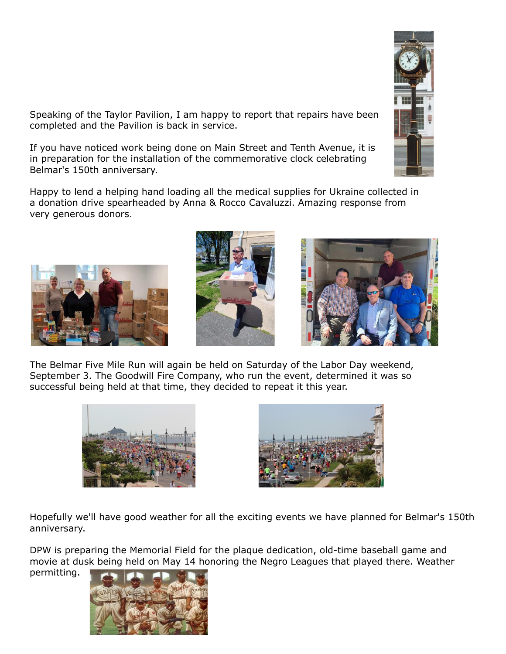

Speaking of the Taylor Pavilion, I am happy to report that repairs have been completed and the Pavilion is back in service.

If you have noticed work being done on Main Street and Tenth Avenue, it is in preparation for the installation of the commemorative clock celebrating Belmar's 150th anniversary.

Happy to lend a helping hand loading all the medical supplies for Ukraine collected in a donation drive spearheaded by Anna & Rocco Cavaluzzi. Amazing response from very generous donors.







The Belmar Five Mile Run will again be held on Saturday of the Labor Day weekend, September 3. The Goodwill Fire Company, who run the event, determined it was so successful being held at that time, they decided to repeat it this year.





Hopefully we'll have good weather for all the exciting events we have planned for Belmar's 150th anniversary.

DPW is preparing the Memorial Field for the plaque dedication, old-time baseball game and movie at dusk being held on May 14 honoring the Negro Leagues that played there. Weather

permitting.